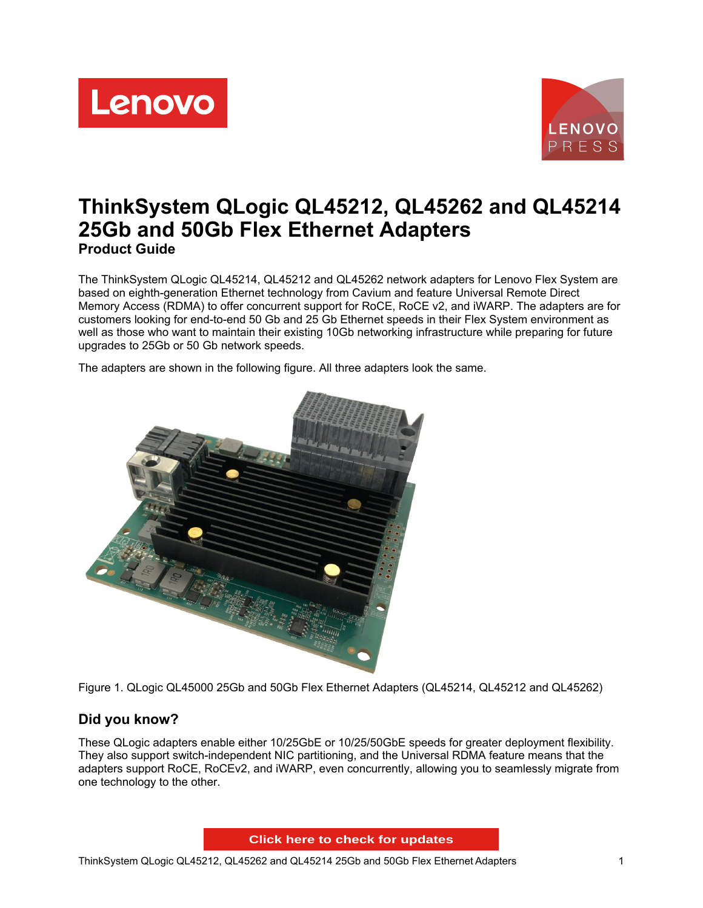Lenovo



# **ThinkSystem QLogic QL45212, QL45262 and QL45214 25Gb and 50Gb Flex Ethernet Adapters Product Guide**

The ThinkSystem QLogic QL45214, QL45212 and QL45262 network adapters for Lenovo Flex System are based on eighth-generation Ethernet technology from Cavium and feature Universal Remote Direct Memory Access (RDMA) to offer concurrent support for RoCE, RoCE v2, and iWARP. The adapters are for customers looking for end-to-end 50 Gb and 25 Gb Ethernet speeds in their Flex System environment as well as those who want to maintain their existing 10Gb networking infrastructure while preparing for future upgrades to 25Gb or 50 Gb network speeds.

The adapters are shown in the following figure. All three adapters look the same.



Figure 1. QLogic QL45000 25Gb and 50Gb Flex Ethernet Adapters (QL45214, QL45212 and QL45262)

## **Did you know?**

These QLogic adapters enable either 10/25GbE or 10/25/50GbE speeds for greater deployment flexibility. They also support switch-independent NIC partitioning, and the Universal RDMA feature means that the adapters support RoCE, RoCEv2, and iWARP, even concurrently, allowing you to seamlessly migrate from one technology to the other.

**Click here to check for updates**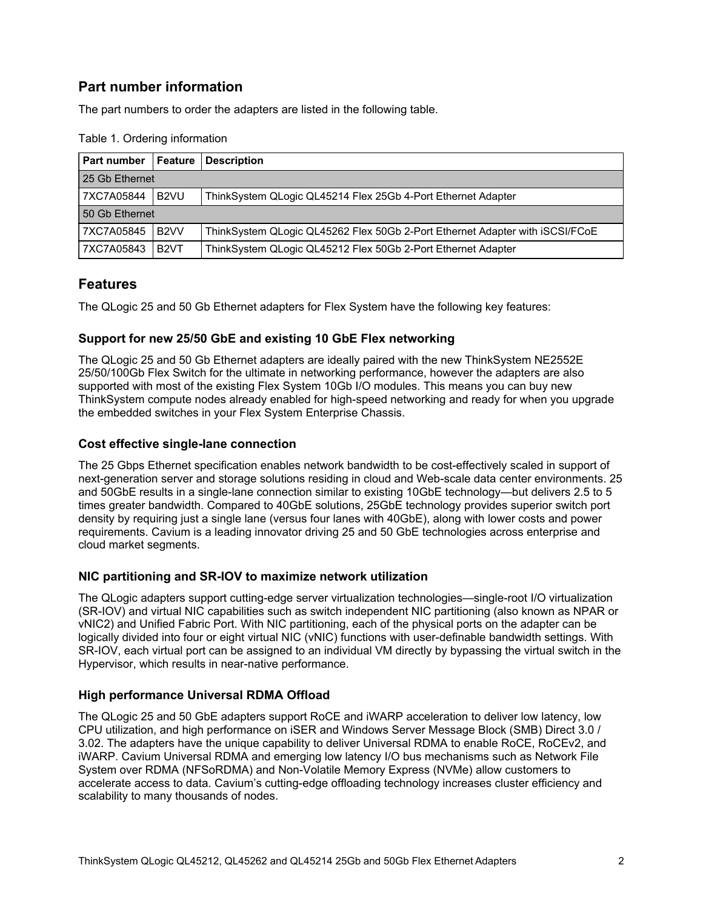## **Part number information**

The part numbers to order the adapters are listed in the following table.

| Part number    | Feature                                                                                           | <b>Description</b>                                           |  |  |  |  |
|----------------|---------------------------------------------------------------------------------------------------|--------------------------------------------------------------|--|--|--|--|
| 25 Gb Ethernet |                                                                                                   |                                                              |  |  |  |  |
| 7XC7A05844     | B <sub>2VU</sub>                                                                                  | ThinkSystem QLogic QL45214 Flex 25Gb 4-Port Ethernet Adapter |  |  |  |  |
| 50 Gb Ethernet |                                                                                                   |                                                              |  |  |  |  |
| 7XC7A05845     | B <sub>2</sub> VV<br>ThinkSystem QLogic QL45262 Flex 50Gb 2-Port Ethernet Adapter with iSCSI/FCoE |                                                              |  |  |  |  |
| 7XC7A05843     | B <sub>2</sub> VT                                                                                 | ThinkSystem QLogic QL45212 Flex 50Gb 2-Port Ethernet Adapter |  |  |  |  |

Table 1. Ordering information

### **Features**

The QLogic 25 and 50 Gb Ethernet adapters for Flex System have the following key features:

#### **Support for new 25/50 GbE and existing 10 GbE Flex networking**

The QLogic 25 and 50 Gb Ethernet adapters are ideally paired with the new ThinkSystem NE2552E 25/50/100Gb Flex Switch for the ultimate in networking performance, however the adapters are also supported with most of the existing Flex System 10Gb I/O modules. This means you can buy new ThinkSystem compute nodes already enabled for high-speed networking and ready for when you upgrade the embedded switches in your Flex System Enterprise Chassis.

#### **Cost effective single-lane connection**

The 25 Gbps Ethernet specification enables network bandwidth to be cost-effectively scaled in support of next-generation server and storage solutions residing in cloud and Web-scale data center environments. 25 and 50GbE results in a single-lane connection similar to existing 10GbE technology—but delivers 2.5 to 5 times greater bandwidth. Compared to 40GbE solutions, 25GbE technology provides superior switch port density by requiring just a single lane (versus four lanes with 40GbE), along with lower costs and power requirements. Cavium is a leading innovator driving 25 and 50 GbE technologies across enterprise and cloud market segments.

#### **NIC partitioning and SR-IOV to maximize network utilization**

The QLogic adapters support cutting-edge server virtualization technologies—single-root I/O virtualization (SR-IOV) and virtual NIC capabilities such as switch independent NIC partitioning (also known as NPAR or vNIC2) and Unified Fabric Port. With NIC partitioning, each of the physical ports on the adapter can be logically divided into four or eight virtual NIC (vNIC) functions with user-definable bandwidth settings. With SR-IOV, each virtual port can be assigned to an individual VM directly by bypassing the virtual switch in the Hypervisor, which results in near-native performance.

#### **High performance Universal RDMA Offload**

The QLogic 25 and 50 GbE adapters support RoCE and iWARP acceleration to deliver low latency, low CPU utilization, and high performance on iSER and Windows Server Message Block (SMB) Direct 3.0 / 3.02. The adapters have the unique capability to deliver Universal RDMA to enable RoCE, RoCEv2, and iWARP. Cavium Universal RDMA and emerging low latency I/O bus mechanisms such as Network File System over RDMA (NFSoRDMA) and Non-Volatile Memory Express (NVMe) allow customers to accelerate access to data. Cavium's cutting-edge offloading technology increases cluster efficiency and scalability to many thousands of nodes.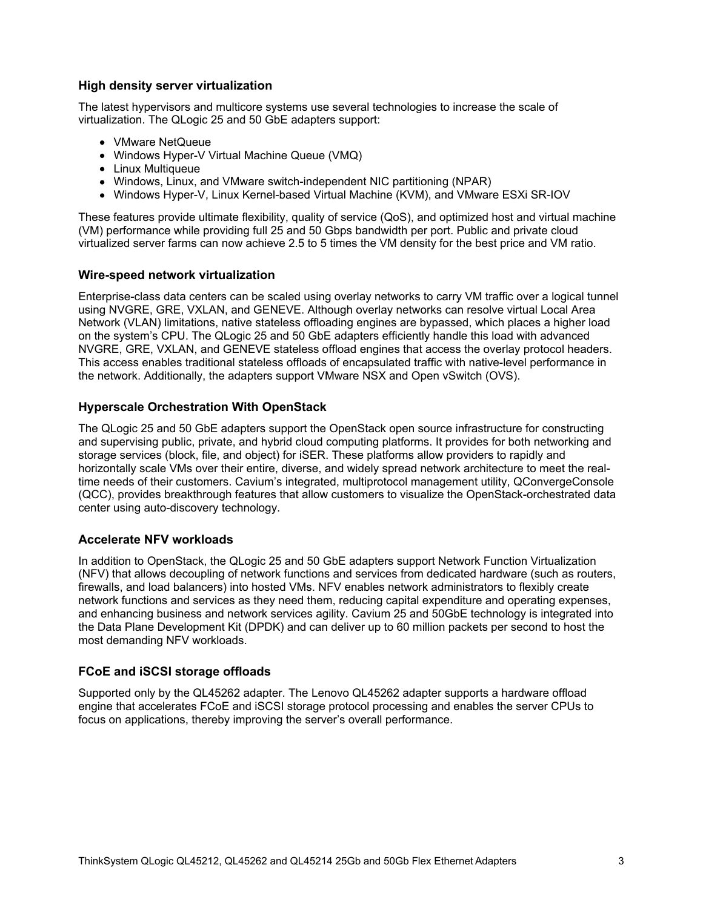#### **High density server virtualization**

The latest hypervisors and multicore systems use several technologies to increase the scale of virtualization. The QLogic 25 and 50 GbE adapters support:

- VMware NetQueue
- Windows Hyper-V Virtual Machine Queue (VMQ)
- Linux Multiqueue
- Windows, Linux, and VMware switch-independent NIC partitioning (NPAR)
- Windows Hyper-V, Linux Kernel-based Virtual Machine (KVM), and VMware ESXi SR-IOV

These features provide ultimate flexibility, quality of service (QoS), and optimized host and virtual machine (VM) performance while providing full 25 and 50 Gbps bandwidth per port. Public and private cloud virtualized server farms can now achieve 2.5 to 5 times the VM density for the best price and VM ratio.

#### **Wire-speed network virtualization**

Enterprise-class data centers can be scaled using overlay networks to carry VM traffic over a logical tunnel using NVGRE, GRE, VXLAN, and GENEVE. Although overlay networks can resolve virtual Local Area Network (VLAN) limitations, native stateless offloading engines are bypassed, which places a higher load on the system's CPU. The QLogic 25 and 50 GbE adapters efficiently handle this load with advanced NVGRE, GRE, VXLAN, and GENEVE stateless offload engines that access the overlay protocol headers. This access enables traditional stateless offloads of encapsulated traffic with native-level performance in the network. Additionally, the adapters support VMware NSX and Open vSwitch (OVS).

#### **Hyperscale Orchestration With OpenStack**

The QLogic 25 and 50 GbE adapters support the OpenStack open source infrastructure for constructing and supervising public, private, and hybrid cloud computing platforms. It provides for both networking and storage services (block, file, and object) for iSER. These platforms allow providers to rapidly and horizontally scale VMs over their entire, diverse, and widely spread network architecture to meet the realtime needs of their customers. Cavium's integrated, multiprotocol management utility, QConvergeConsole (QCC), provides breakthrough features that allow customers to visualize the OpenStack-orchestrated data center using auto-discovery technology.

#### **Accelerate NFV workloads**

In addition to OpenStack, the QLogic 25 and 50 GbE adapters support Network Function Virtualization (NFV) that allows decoupling of network functions and services from dedicated hardware (such as routers, firewalls, and load balancers) into hosted VMs. NFV enables network administrators to flexibly create network functions and services as they need them, reducing capital expenditure and operating expenses, and enhancing business and network services agility. Cavium 25 and 50GbE technology is integrated into the Data Plane Development Kit (DPDK) and can deliver up to 60 million packets per second to host the most demanding NFV workloads.

#### **FCoE and iSCSI storage offloads**

Supported only by the QL45262 adapter. The Lenovo QL45262 adapter supports a hardware offload engine that accelerates FCoE and iSCSI storage protocol processing and enables the server CPUs to focus on applications, thereby improving the server's overall performance.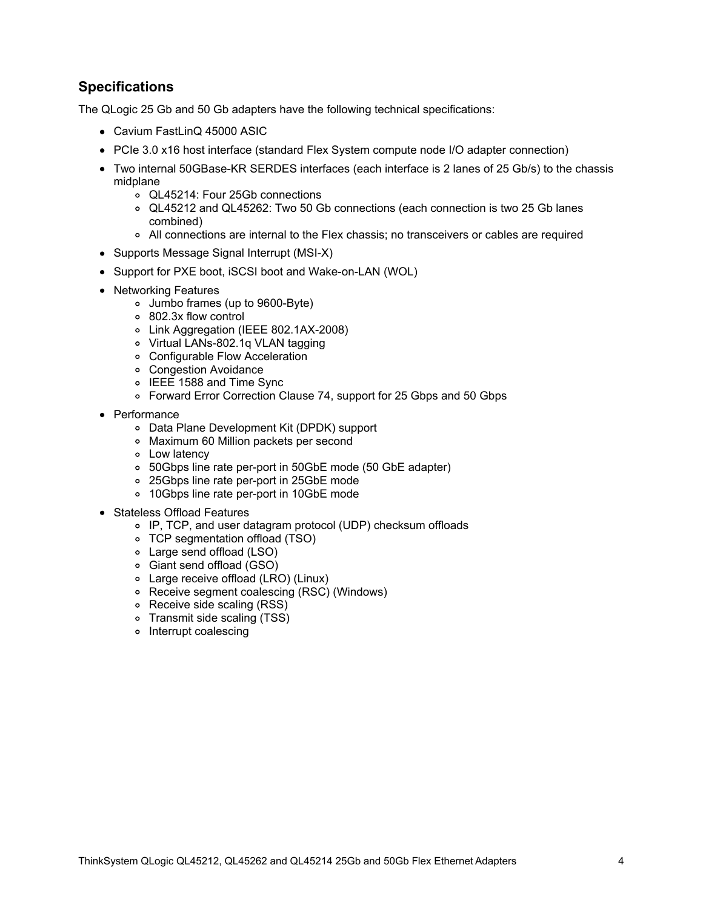## **Specifications**

The QLogic 25 Gb and 50 Gb adapters have the following technical specifications:

- Cavium FastLinQ 45000 ASIC
- PCIe 3.0 x16 host interface (standard Flex System compute node I/O adapter connection)
- Two internal 50GBase-KR SERDES interfaces (each interface is 2 lanes of 25 Gb/s) to the chassis midplane
	- QL45214: Four 25Gb connections
	- QL45212 and QL45262: Two 50 Gb connections (each connection is two 25 Gb lanes combined)
	- All connections are internal to the Flex chassis; no transceivers or cables are required
- Supports Message Signal Interrupt (MSI-X)
- Support for PXE boot, iSCSI boot and Wake-on-LAN (WOL)
- Networking Features
	- Jumbo frames (up to 9600-Byte)
	- 802.3x flow control
	- Link Aggregation (IEEE 802.1AX-2008)
	- Virtual LANs-802.1q VLAN tagging
	- Configurable Flow Acceleration
	- Congestion Avoidance
	- o IEEE 1588 and Time Sync
	- Forward Error Correction Clause 74, support for 25 Gbps and 50 Gbps
- Performance
	- Data Plane Development Kit (DPDK) support
	- Maximum 60 Million packets per second
	- Low latency
	- 50Gbps line rate per-port in 50GbE mode (50 GbE adapter)
	- 25Gbps line rate per-port in 25GbE mode
	- 10Gbps line rate per-port in 10GbE mode
- Stateless Offload Features
	- IP, TCP, and user datagram protocol (UDP) checksum offloads
	- TCP segmentation offload (TSO)
	- Large send offload (LSO)
	- Giant send offload (GSO)
	- Large receive offload (LRO) (Linux)
	- Receive segment coalescing (RSC) (Windows)
	- Receive side scaling (RSS)
	- Transmit side scaling (TSS)
	- o Interrupt coalescing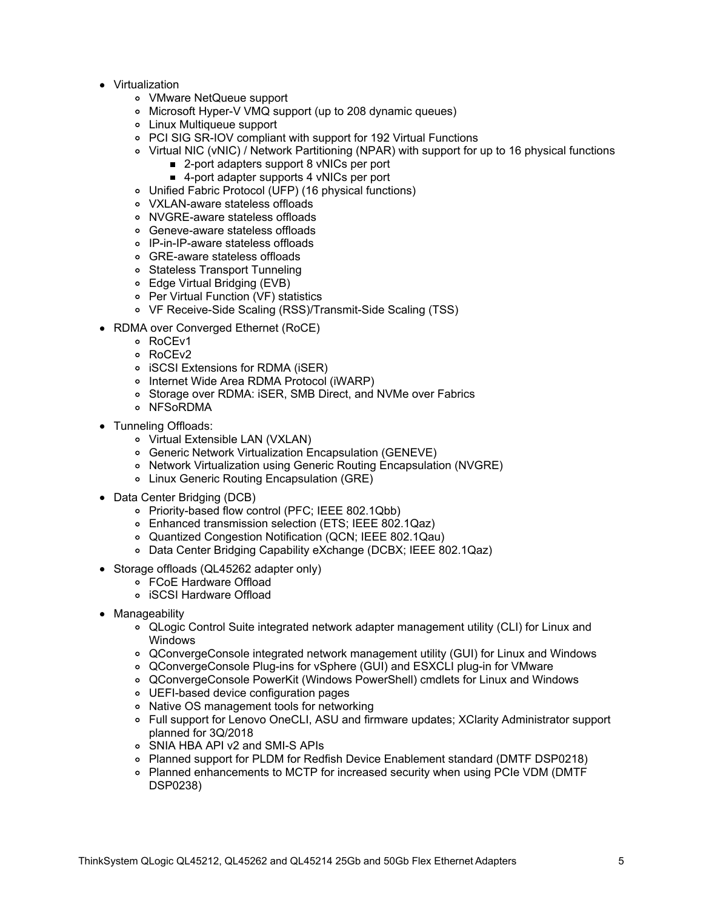- Virtualization
	- VMware NetQueue support
	- Microsoft Hyper-V VMQ support (up to 208 dynamic queues)
	- Linux Multiqueue support
	- PCI SIG SR-IOV compliant with support for 192 Virtual Functions
	- Virtual NIC (vNIC) / Network Partitioning (NPAR) with support for up to 16 physical functions
		- 2-port adapters support 8 vNICs per port
		- 4-port adapter supports 4 vNICs per port
	- Unified Fabric Protocol (UFP) (16 physical functions)
	- VXLAN-aware stateless offloads
	- NVGRE-aware stateless offloads
	- Geneve-aware stateless offloads
	- IP-in-IP-aware stateless offloads
	- GRE-aware stateless offloads
	- Stateless Transport Tunneling
	- Edge Virtual Bridging (EVB)
	- Per Virtual Function (VF) statistics
	- VF Receive-Side Scaling (RSS)/Transmit-Side Scaling (TSS)
- RDMA over Converged Ethernet (RoCE)
	- RoCEv1
	- o RoCEv2
	- iSCSI Extensions for RDMA (iSER)
	- o Internet Wide Area RDMA Protocol (iWARP)
	- Storage over RDMA: iSER, SMB Direct, and NVMe over Fabrics
	- o NFSoRDMA
- Tunneling Offloads:
	- Virtual Extensible LAN (VXLAN)
	- Generic Network Virtualization Encapsulation (GENEVE)
	- Network Virtualization using Generic Routing Encapsulation (NVGRE)
	- Linux Generic Routing Encapsulation (GRE)
- Data Center Bridging (DCB)
	- Priority-based flow control (PFC; IEEE 802.1Qbb)
	- Enhanced transmission selection (ETS; IEEE 802.1Qaz)
	- Quantized Congestion Notification (QCN; IEEE 802.1Qau)
	- Data Center Bridging Capability eXchange (DCBX; IEEE 802.1Qaz)
- Storage offloads (QL45262 adapter only)
	- FCoE Hardware Offload
	- iSCSI Hardware Offload
- Manageability
	- QLogic Control Suite integrated network adapter management utility (CLI) for Linux and Windows
	- QConvergeConsole integrated network management utility (GUI) for Linux and Windows
	- QConvergeConsole Plug-ins for vSphere (GUI) and ESXCLI plug-in for VMware
	- QConvergeConsole PowerKit (Windows PowerShell) cmdlets for Linux and Windows
	- UEFI-based device configuration pages
	- Native OS management tools for networking
	- Full support for Lenovo OneCLI, ASU and firmware updates; XClarity Administrator support planned for 3Q/2018
	- SNIA HBA API v2 and SMI-S APIs
	- Planned support for PLDM for Redfish Device Enablement standard (DMTF DSP0218)
	- Planned enhancements to MCTP for increased security when using PCIe VDM (DMTF DSP0238)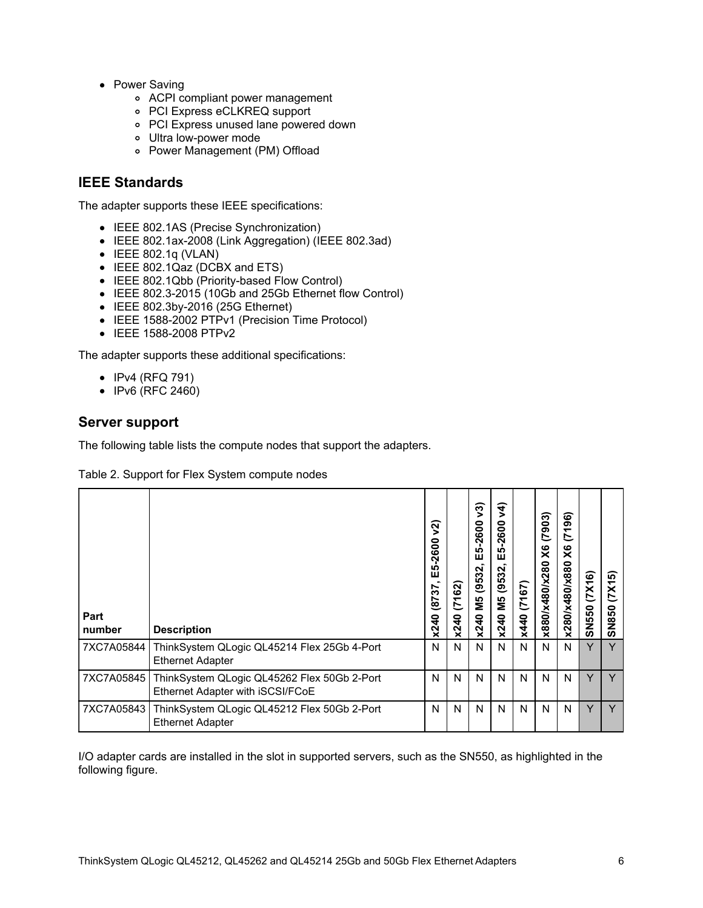- Power Saving
	- ACPI compliant power management
	- PCI Express eCLKREQ support
	- PCI Express unused lane powered down
	- Ultra low-power mode
	- Power Management (PM) Offload

### **IEEE Standards**

The adapter supports these IEEE specifications:

- IEEE 802.1AS (Precise Synchronization)
- IEEE 802.1ax-2008 (Link Aggregation) (IEEE 802.3ad)
- $\bullet$  IEEE 802.1q (VLAN)
- IEEE 802.1Qaz (DCBX and ETS)
- IEEE 802.1Qbb (Priority-based Flow Control)
- IEEE 802.3-2015 (10Gb and 25Gb Ethernet flow Control)
- IEEE 802.3by-2016 (25G Ethernet)
- IEEE 1588-2002 PTPv1 (Precision Time Protocol)
- IEEE 1588-2008 PTPv2

The adapter supports these additional specifications:

- IPv4 (RFQ 791)
- IPv6 (RFC 2460)

#### **Server support**

The following table lists the compute nodes that support the adapters.

#### Table 2. Support for Flex System compute nodes

| Part<br>number | <b>Description</b>                                                              | ন<br>600<br>$\bar{\mathbf{N}}$<br>ທ<br>ш<br>22<br>(87)<br>x240 | (7162)<br>x240 | $\widetilde{\mathcal{E}}$<br>$-2600$<br><b>S</b><br>ш<br>(9532,<br>Й5<br>x240 | र्भ<br>$-2600$<br><b>IQ</b><br>Ŵ<br>(9532,<br>ΣΜ<br>x240 | (7167)<br>x440 | (7903)<br>X6<br>x880/x480/x280 | 96)<br>$\tilde{\mathcal{L}}$<br>$\times$<br>x280/x480/x880 | (7X16)<br>SN550 | (7X15)<br>SN850 |
|----------------|---------------------------------------------------------------------------------|----------------------------------------------------------------|----------------|-------------------------------------------------------------------------------|----------------------------------------------------------|----------------|--------------------------------|------------------------------------------------------------|-----------------|-----------------|
| 7XC7A05844     | ThinkSystem QLogic QL45214 Flex 25Gb 4-Port<br><b>Ethernet Adapter</b>          | N                                                              | N              | N                                                                             | N                                                        | N              | N                              | N                                                          | Y               | Y               |
| 7XC7A05845     | ThinkSystem QLogic QL45262 Flex 50Gb 2-Port<br>Ethernet Adapter with iSCSI/FCoE | N                                                              | N              | N                                                                             | N                                                        | N              | N                              | N                                                          | Y               | $\vee$          |
| 7XC7A05843     | ThinkSystem QLogic QL45212 Flex 50Gb 2-Port<br><b>Ethernet Adapter</b>          | N                                                              | N              | N                                                                             | N                                                        | N              | N                              | N                                                          | Y               | $\vee$          |

I/O adapter cards are installed in the slot in supported servers, such as the SN550, as highlighted in the following figure.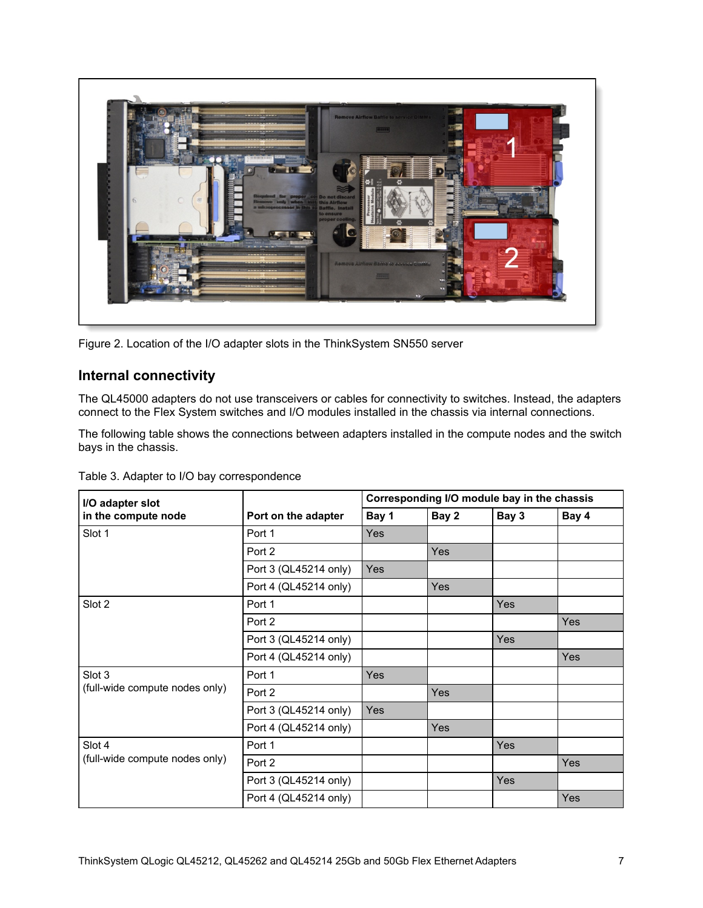

Figure 2. Location of the I/O adapter slots in the ThinkSystem SN550 server

## **Internal connectivity**

The QL45000 adapters do not use transceivers or cables for connectivity to switches. Instead, the adapters connect to the Flex System switches and I/O modules installed in the chassis via internal connections.

The following table shows the connections between adapters installed in the compute nodes and the switch bays in the chassis.

| Table 3. Adapter to I/O bay correspondence |
|--------------------------------------------|
|                                            |

| I/O adapter slot               |                       | Corresponding I/O module bay in the chassis |            |       |       |  |  |  |
|--------------------------------|-----------------------|---------------------------------------------|------------|-------|-------|--|--|--|
| in the compute node            | Port on the adapter   | Bay 1                                       | Bay 2      | Bay 3 | Bay 4 |  |  |  |
| Slot 1                         | Port 1                | <b>Yes</b>                                  |            |       |       |  |  |  |
|                                | Port 2                |                                             | <b>Yes</b> |       |       |  |  |  |
|                                | Port 3 (QL45214 only) | Yes                                         |            |       |       |  |  |  |
|                                | Port 4 (QL45214 only) |                                             | Yes        |       |       |  |  |  |
| Slot 2                         | Port 1                |                                             |            | Yes   |       |  |  |  |
|                                | Port 2                |                                             |            |       | Yes   |  |  |  |
|                                | Port 3 (QL45214 only) |                                             |            | Yes   |       |  |  |  |
|                                | Port 4 (QL45214 only) |                                             |            |       | Yes   |  |  |  |
| Slot 3                         | Port 1                | <b>Yes</b>                                  |            |       |       |  |  |  |
| (full-wide compute nodes only) | Port 2                |                                             | Yes        |       |       |  |  |  |
|                                | Port 3 (QL45214 only) | Yes                                         |            |       |       |  |  |  |
|                                | Port 4 (QL45214 only) |                                             | Yes        |       |       |  |  |  |
| Slot 4                         | Port 1                |                                             |            | Yes   |       |  |  |  |
| (full-wide compute nodes only) | Port 2                |                                             |            |       | Yes   |  |  |  |
|                                | Port 3 (QL45214 only) |                                             |            | Yes   |       |  |  |  |
|                                | Port 4 (QL45214 only) |                                             |            |       | Yes   |  |  |  |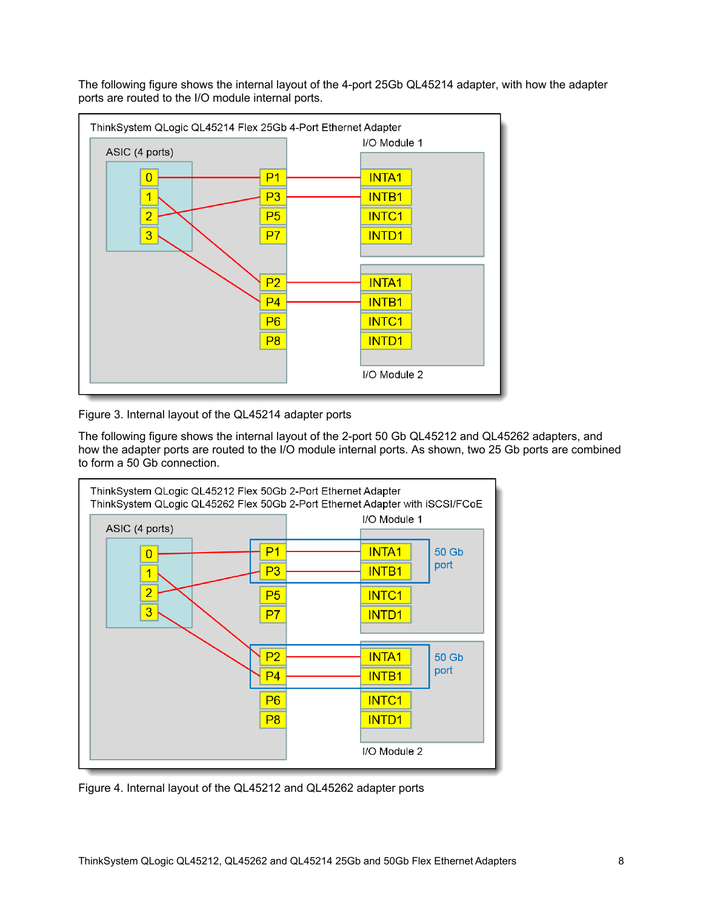The following figure shows the internal layout of the 4-port 25Gb QL45214 adapter, with how the adapter ports are routed to the I/O module internal ports.



Figure 3. Internal layout of the QL45214 adapter ports

The following figure shows the internal layout of the 2-port 50 Gb QL45212 and QL45262 adapters, and how the adapter ports are routed to the I/O module internal ports. As shown, two 25 Gb ports are combined to form a 50 Gb connection.



Figure 4. Internal layout of the QL45212 and QL45262 adapter ports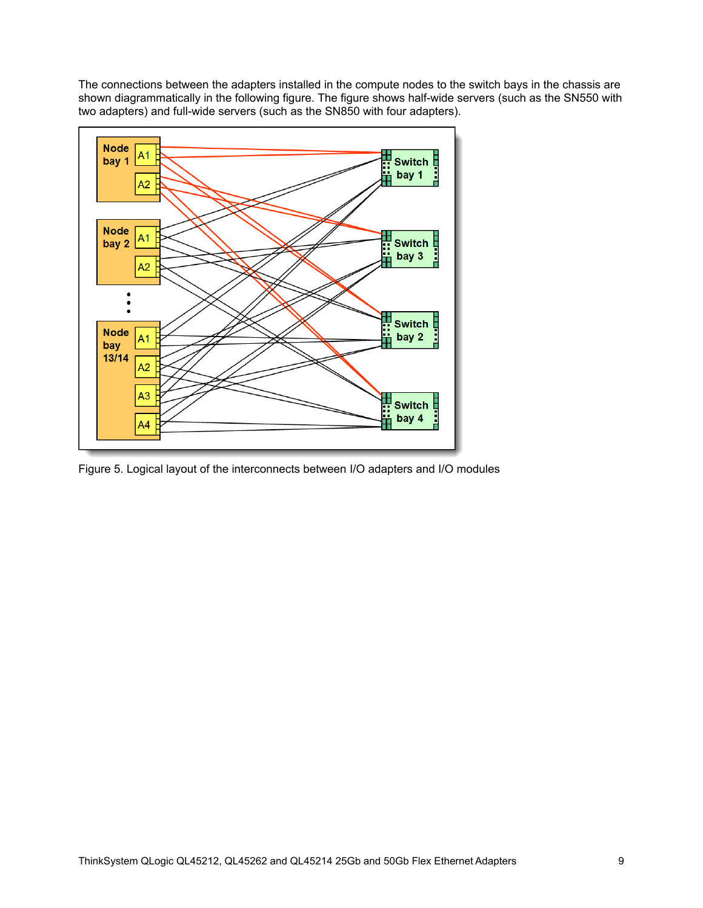The connections between the adapters installed in the compute nodes to the switch bays in the chassis are shown diagrammatically in the following figure. The figure shows half-wide servers (such as the SN550 with two adapters) and full-wide servers (such as the SN850 with four adapters).



Figure 5. Logical layout of the interconnects between I/O adapters and I/O modules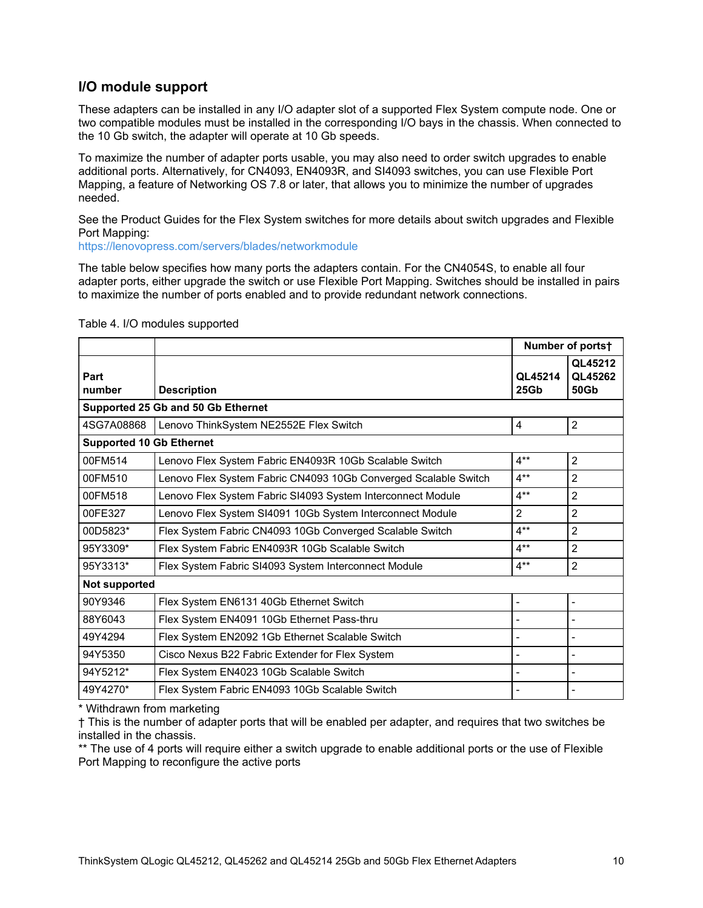## **I/O module support**

These adapters can be installed in any I/O adapter slot of a supported Flex System compute node. One or two compatible modules must be installed in the corresponding I/O bays in the chassis. When connected to the 10 Gb switch, the adapter will operate at 10 Gb speeds.

To maximize the number of adapter ports usable, you may also need to order switch upgrades to enable additional ports. Alternatively, for CN4093, EN4093R, and SI4093 switches, you can use Flexible Port Mapping, a feature of Networking OS 7.8 or later, that allows you to minimize the number of upgrades needed.

See the Product Guides for the Flex System switches for more details about switch upgrades and Flexible Port Mapping:

<https://lenovopress.com/servers/blades/networkmodule>

The table below specifies how many ports the adapters contain. For the CN4054S, to enable all four adapter ports, either upgrade the switch or use Flexible Port Mapping. Switches should be installed in pairs to maximize the number of ports enabled and to provide redundant network connections.

|                                    |                                                                 | Number of ports†            |                            |  |  |  |
|------------------------------------|-----------------------------------------------------------------|-----------------------------|----------------------------|--|--|--|
| Part<br>number                     | <b>Description</b>                                              | QL45214<br>25G <sub>b</sub> | QL45212<br>QL45262<br>50Gb |  |  |  |
| Supported 25 Gb and 50 Gb Ethernet |                                                                 |                             |                            |  |  |  |
| 4SG7A08868                         | Lenovo ThinkSystem NE2552E Flex Switch                          | 4                           | 2                          |  |  |  |
| <b>Supported 10 Gb Ethernet</b>    |                                                                 |                             |                            |  |  |  |
| 00FM514                            | Lenovo Flex System Fabric EN4093R 10Gb Scalable Switch          | $4**$                       | 2                          |  |  |  |
| 00FM510                            | Lenovo Flex System Fabric CN4093 10Gb Converged Scalable Switch | $4**$                       | $\overline{2}$             |  |  |  |
| 00FM518                            | Lenovo Flex System Fabric SI4093 System Interconnect Module     | $4**$                       | 2                          |  |  |  |
| 00FE327                            | Lenovo Flex System SI4091 10Gb System Interconnect Module       | $\overline{2}$              | $\overline{2}$             |  |  |  |
| 00D5823*                           | Flex System Fabric CN4093 10Gb Converged Scalable Switch        | $4**$                       | $\mathfrak{p}$             |  |  |  |
| 95Y3309*                           | Flex System Fabric EN4093R 10Gb Scalable Switch                 | $4**$                       | $\overline{2}$             |  |  |  |
| 95Y3313*                           | Flex System Fabric SI4093 System Interconnect Module            | $4**$                       | $\overline{2}$             |  |  |  |
| Not supported                      |                                                                 |                             |                            |  |  |  |
| 90Y9346                            | Flex System EN6131 40Gb Ethernet Switch                         | $\overline{\phantom{0}}$    | $\overline{\phantom{0}}$   |  |  |  |
| 88Y6043                            | Flex System EN4091 10Gb Ethernet Pass-thru                      |                             |                            |  |  |  |
| 49Y4294                            | Flex System EN2092 1Gb Ethernet Scalable Switch                 | ٠                           |                            |  |  |  |
| 94Y5350                            | Cisco Nexus B22 Fabric Extender for Flex System                 |                             |                            |  |  |  |
| 94Y5212*                           | Flex System EN4023 10Gb Scalable Switch                         | $\overline{a}$              |                            |  |  |  |
| 49Y4270*                           | Flex System Fabric EN4093 10Gb Scalable Switch                  | $\overline{a}$              |                            |  |  |  |

#### Table 4. I/O modules supported

\* Withdrawn from marketing

† This is the number of adapter ports that will be enabled per adapter, and requires that two switches be installed in the chassis.

\*\* The use of 4 ports will require either a switch upgrade to enable additional ports or the use of Flexible Port Mapping to reconfigure the active ports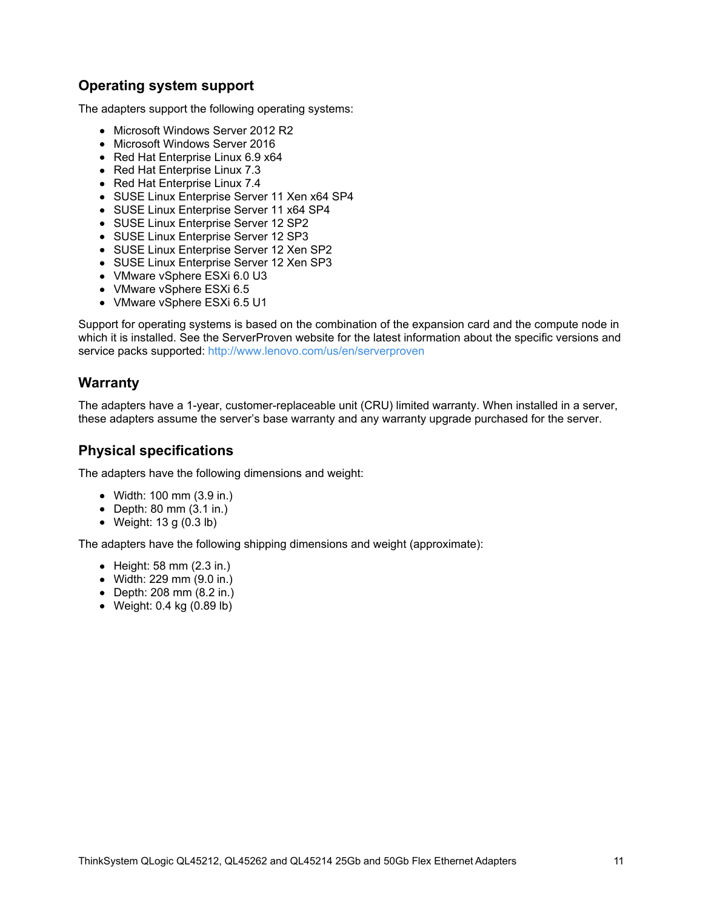## **Operating system support**

The adapters support the following operating systems:

- Microsoft Windows Server 2012 R2
- Microsoft Windows Server 2016
- Red Hat Enterprise Linux 6.9 x64
- Red Hat Enterprise Linux 7.3
- Red Hat Enterprise Linux 7.4
- SUSE Linux Enterprise Server 11 Xen x64 SP4
- SUSE Linux Enterprise Server 11 x64 SP4
- SUSE Linux Enterprise Server 12 SP2
- SUSE Linux Enterprise Server 12 SP3
- SUSE Linux Enterprise Server 12 Xen SP2
- SUSE Linux Enterprise Server 12 Xen SP3
- VMware vSphere ESXi 6.0 U3
- VMware vSphere ESXi 6.5
- VMware vSphere ESXi 6.5 U1

Support for operating systems is based on the combination of the expansion card and the compute node in which it is installed. See the ServerProven website for the latest information about the specific versions and service packs supported: <http://www.lenovo.com/us/en/serverproven>

## **Warranty**

The adapters have a 1-year, customer-replaceable unit (CRU) limited warranty. When installed in a server, these adapters assume the server's base warranty and any warranty upgrade purchased for the server.

### **Physical specifications**

The adapters have the following dimensions and weight:

- Width: 100 mm (3.9 in.)
- $\bullet$  Depth: 80 mm (3.1 in.)
- Weight: 13 g (0.3 lb)

The adapters have the following shipping dimensions and weight (approximate):

- $\bullet$  Height: 58 mm (2.3 in.)
- Width: 229 mm (9.0 in.)
- Depth: 208 mm (8.2 in.)
- Weight: 0.4 kg (0.89 lb)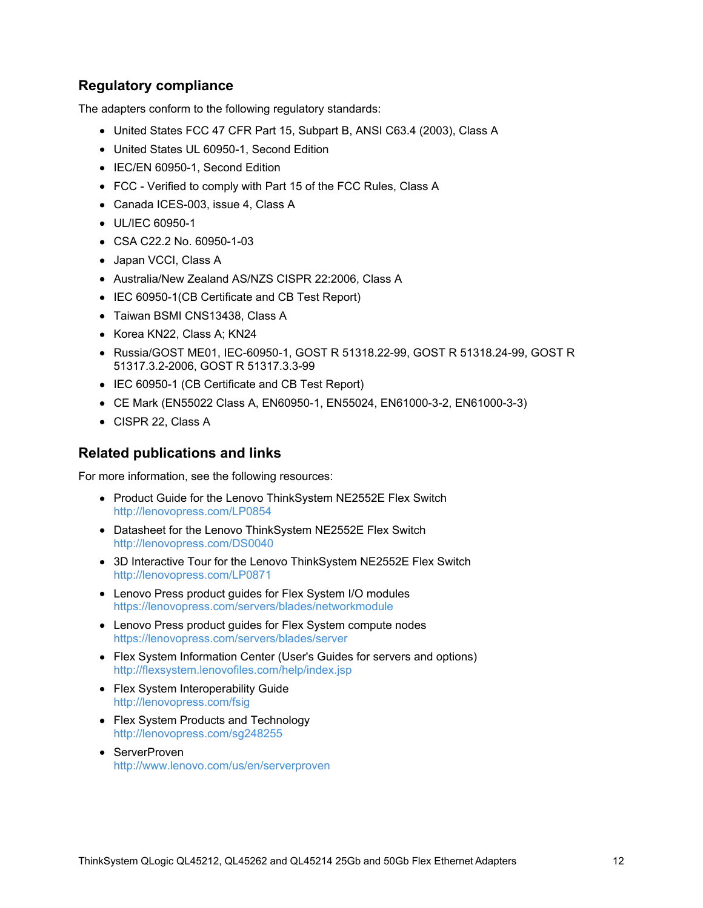## **Regulatory compliance**

The adapters conform to the following regulatory standards:

- United States FCC 47 CFR Part 15, Subpart B, ANSI C63.4 (2003), Class A
- United States UL 60950-1, Second Edition
- IEC/EN 60950-1, Second Edition
- FCC Verified to comply with Part 15 of the FCC Rules, Class A
- Canada ICES-003, issue 4, Class A
- UL/IEC 60950-1
- CSA C22.2 No. 60950-1-03
- Japan VCCI, Class A
- Australia/New Zealand AS/NZS CISPR 22:2006, Class A
- IEC 60950-1(CB Certificate and CB Test Report)
- Taiwan BSMI CNS13438, Class A
- Korea KN22, Class A; KN24
- Russia/GOST ME01, IEC-60950-1, GOST R 51318.22-99, GOST R 51318.24-99, GOST R 51317.3.2-2006, GOST R 51317.3.3-99
- IEC 60950-1 (CB Certificate and CB Test Report)
- CE Mark (EN55022 Class A, EN60950-1, EN55024, EN61000-3-2, EN61000-3-3)
- CISPR 22, Class A

#### **Related publications and links**

For more information, see the following resources:

- Product Guide for the Lenovo ThinkSystem NE2552E Flex Switch <http://lenovopress.com/LP0854>
- Datasheet for the Lenovo ThinkSystem NE2552E Flex Switch <http://lenovopress.com/DS0040>
- 3D Interactive Tour for the Lenovo ThinkSystem NE2552E Flex Switch <http://lenovopress.com/LP0871>
- Lenovo Press product guides for Flex System I/O modules <https://lenovopress.com/servers/blades/networkmodule>
- Lenovo Press product guides for Flex System compute nodes <https://lenovopress.com/servers/blades/server>
- Flex System Information Center (User's Guides for servers and options) <http://flexsystem.lenovofiles.com/help/index.jsp>
- Flex System Interoperability Guide <http://lenovopress.com/fsig>
- Flex System Products and Technology <http://lenovopress.com/sg248255>
- ServerProven <http://www.lenovo.com/us/en/serverproven>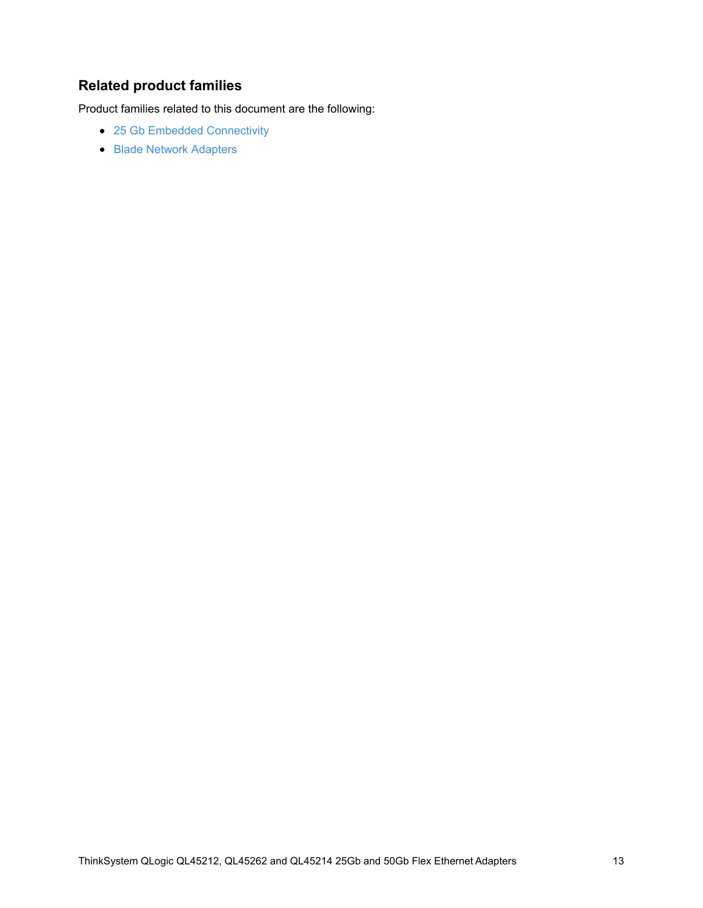## **Related product families**

Product families related to this document are the following:

- 25 Gb Embedded [Connectivity](https://lenovopress.com/networking/embedded/25gb)
- **Blade Network [Adapters](https://lenovopress.com/servers/blades/nic)**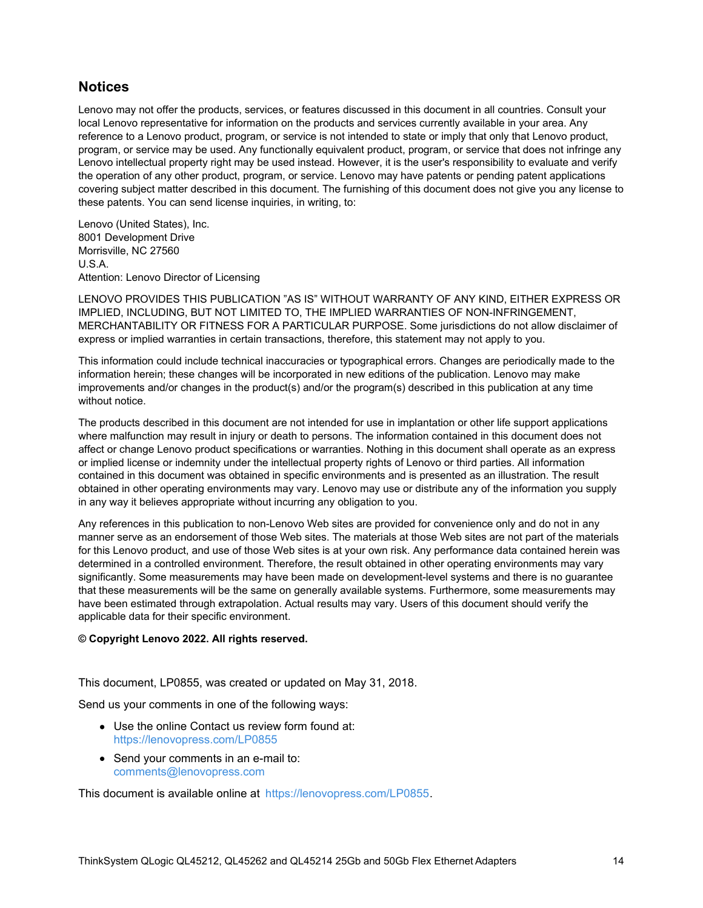### **Notices**

Lenovo may not offer the products, services, or features discussed in this document in all countries. Consult your local Lenovo representative for information on the products and services currently available in your area. Any reference to a Lenovo product, program, or service is not intended to state or imply that only that Lenovo product, program, or service may be used. Any functionally equivalent product, program, or service that does not infringe any Lenovo intellectual property right may be used instead. However, it is the user's responsibility to evaluate and verify the operation of any other product, program, or service. Lenovo may have patents or pending patent applications covering subject matter described in this document. The furnishing of this document does not give you any license to these patents. You can send license inquiries, in writing, to:

Lenovo (United States), Inc. 8001 Development Drive Morrisville, NC 27560 U.S.A. Attention: Lenovo Director of Licensing

LENOVO PROVIDES THIS PUBLICATION "AS IS" WITHOUT WARRANTY OF ANY KIND, EITHER EXPRESS OR IMPLIED, INCLUDING, BUT NOT LIMITED TO, THE IMPLIED WARRANTIES OF NON-INFRINGEMENT, MERCHANTABILITY OR FITNESS FOR A PARTICULAR PURPOSE. Some jurisdictions do not allow disclaimer of express or implied warranties in certain transactions, therefore, this statement may not apply to you.

This information could include technical inaccuracies or typographical errors. Changes are periodically made to the information herein; these changes will be incorporated in new editions of the publication. Lenovo may make improvements and/or changes in the product(s) and/or the program(s) described in this publication at any time without notice.

The products described in this document are not intended for use in implantation or other life support applications where malfunction may result in injury or death to persons. The information contained in this document does not affect or change Lenovo product specifications or warranties. Nothing in this document shall operate as an express or implied license or indemnity under the intellectual property rights of Lenovo or third parties. All information contained in this document was obtained in specific environments and is presented as an illustration. The result obtained in other operating environments may vary. Lenovo may use or distribute any of the information you supply in any way it believes appropriate without incurring any obligation to you.

Any references in this publication to non-Lenovo Web sites are provided for convenience only and do not in any manner serve as an endorsement of those Web sites. The materials at those Web sites are not part of the materials for this Lenovo product, and use of those Web sites is at your own risk. Any performance data contained herein was determined in a controlled environment. Therefore, the result obtained in other operating environments may vary significantly. Some measurements may have been made on development-level systems and there is no guarantee that these measurements will be the same on generally available systems. Furthermore, some measurements may have been estimated through extrapolation. Actual results may vary. Users of this document should verify the applicable data for their specific environment.

#### **© Copyright Lenovo 2022. All rights reserved.**

This document, LP0855, was created or updated on May 31, 2018.

Send us your comments in one of the following ways:

- Use the online Contact us review form found at: <https://lenovopress.com/LP0855>
- Send your comments in an e-mail to: [comments@lenovopress.com](mailto:comments@lenovopress.com?subject=Feedback for LP0855)

This document is available online at <https://lenovopress.com/LP0855>.